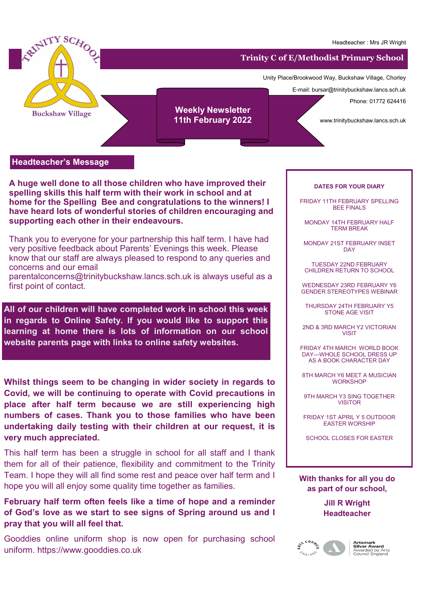

## **Headteacher's Message**

**A huge well done to all those children who have improved their spelling skills this half term with their work in school and at home for the Spelling Bee and congratulations to the winners! I have heard lots of wonderful stories of children encouraging and supporting each other in their endeavours.** 

Thank you to everyone for your partnership this half term. I have had very positive feedback about Parents' Evenings this week. Please know that our staff are always pleased to respond to any queries and concerns and our email

parentalconcerns@trinitybuckshaw.lancs.sch.uk is always useful as a first point of contact.

**All of our children will have completed work in school this week in regards to Online Safety. If you would like to support this learning at home there is lots of information on our school website parents page with links to online safety websites.** 

**Whilst things seem to be changing in wider society in regards to Covid, we will be continuing to operate with Covid precautions in place after half term because we are still experiencing high numbers of cases. Thank you to those families who have been undertaking daily testing with their children at our request, it is very much appreciated.** 

what the formilies of the set of the set of the set of the set of the set of the set of the set of the set of the s<br>Set of the set of the set of the set of the set of the set of the set of the set of the set of the set of hope you will all enjoy some quality time together as families. This half term has been a struggle in school for all staff and I thank them for all of their patience, flexibility and commitment to the Trinity Team. I hope they will all find some rest and peace over half term and I

## February half term often feels like a time of hope and a reminder of God's love as we start to see signs of Spring around us and I **pray that you will all feel that.**

Gooddies online uniform shop is now open for purchasing school uniform. https://www.gooddies.co.uk

## **DATES FOR YOUR DIARY**

FRIDAY 11TH FEBRUARY SPELLING BEE FINALS

MONDAY 14TH FEBRUARY HALF TERM BREAK

MONDAY 21ST FEBRUARY INSET **DAY** 

TUESDAY 22ND FEBRUARY CHILDREN RETURN TO SCHOOL

WEDNESDAY 23RD FEBRUARY Y6 GENDER STEREOTYPES WEBINAR

THURSDAY 24TH FEBRUARY Y5 STONE AGE VISIT

2ND & 3RD MARCH Y2 VICTORIAN **VISIT** 

FRIDAY 4TH MARCH WORLD BOOK DAY—WHOLE SCHOOL DRESS UP AS A BOOK CHARACTER DAY

8TH MARCH Y6 MEET A MUSICIAN **WORKSHOP** 

9TH MARCH Y3 SING TOGETHER VISITOR

FRIDAY 1ST APRIL Y 5 OUTDOOR EASTER WORSHIP

SCHOOL CLOSES FOR EASTER

**With thanks for all you do as part of our school,**

> **Jill R Wright Headteacher**



**Artsmark<br>Silver Award**<br>Awarded by Arts<br>Council England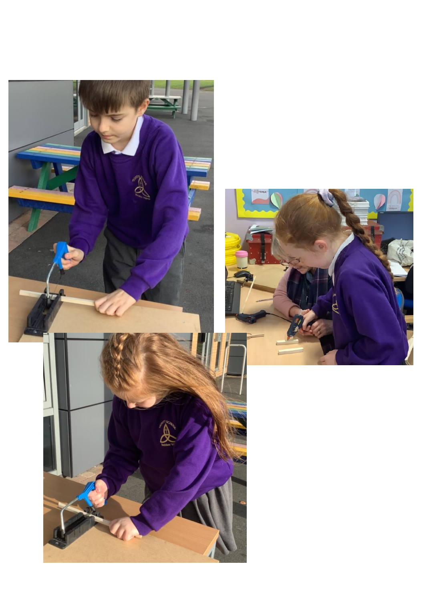